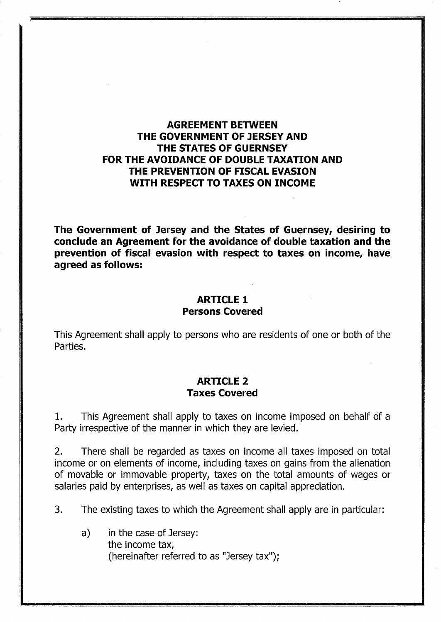# **AGREEMENT BETWEEN THE GOVERNMENT OF JERSEY AND THE STATES OF GUERNSEY FOR THE AVOIDANCE OF DOUBLE TAXATION AND THE PREVENTION OF FISCAL EVASION WITH RESPECT TO TAXES ON INCOME**

**The Government of Jersey and the States of Guernsey, desiring to conclude an Agreement for the avoidance of double taxation and the prevention of fiscal evasion with respect to taxes on income, have agreed as follows:** 

### **ARTICLE 1 Persons Covered**

This Agreement shall apply to persons who are residents of one or both of the Parties.

#### **ARTICLE 2 Taxes Covered**

1. This Agreement shall apply to taxes on income imposed on behalf of a Party irrespective of the manner in which they are levied.

2. There shall be regarded as taxes on income all taxes imposed on total income or on elements of income, including taxes on gains from the alienation of movable or immovable property, taxes on the total amounts of wages or salaries paid by enterprises, as well as taxes on capital appreciation.

3. The existing taxes to which the Agreement shall apply are in particular:

a) in the case of Jersey: the income tax, (hereinafter referred to as "Jersey tax");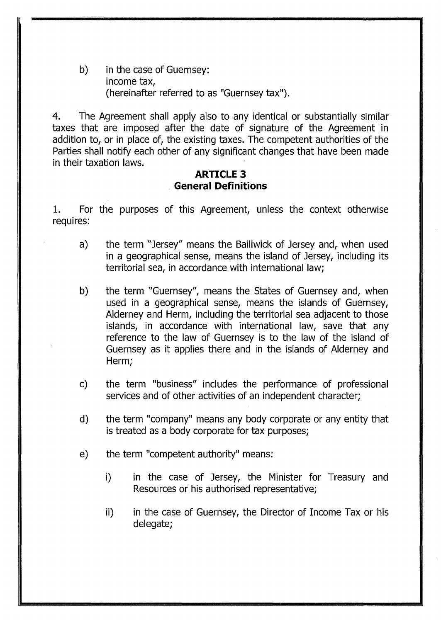b) in the case of Guernsey: income tax, (hereinafter referred to as "Guernsey tax").

4. The Agreement shall apply also to any identical or substantially similar taxes that are imposed after the date of signature of the Agreement in addition to, or in place of, the existing taxes. The competent authorities of the Parties shall notify each other of any significant changes that have been made in their taxation laws.

# **ARTICLE 3 General Definitions**

1. For the purposes of this Agreement, unless the context otherwise requires:

- a) the term "Jersey" means the Bailiwick of Jersey and, when used in a geographical sense, means the island of Jersey, including its territorial sea, in accordance with international law;
- b) the term "Guernsey", means the States of Guernsey and, when used in a geographical sense, means the islands of Guernsey, Alderney and Herm, including the territorial sea adjacent to those islands, in accordance with international law, save that any reference to the law of Guernsey is to the law of the island of Guernsey as it applies there and in the islands of Alderney and Herm;
- c) the term "business" includes the performance of professional services and of other activities of an independent character;
- d) the term "company" means any body corporate or any entity that is treated as a body corporate for tax purposes;
- e) the term "competent authority" means:
	- i) in the case of Jersey, the Minister for Treasury and Resources or his authorised representative;
	- ii) in the case of Guernsey, the Director of Income Tax or his delegate;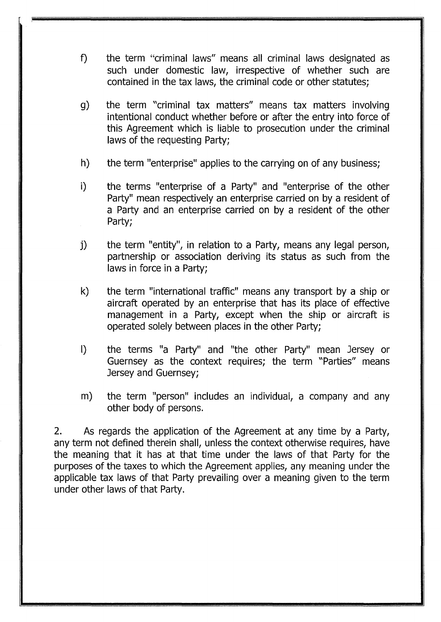- f) the term "criminal laws" means all criminal laws designated as such under domestic law, irrespective of whether such are contained in the tax laws, the criminal code or other statutes;
- g) the term "criminal tax matters" means tax matters involving intentional conduct whether before or after the entry into force of this Agreement which is liable to prosecution under the criminal laws of the requesting Party;
- h) the term "enterprise" applies to the carrying on of any business;
- i) the terms "enterprise of a Party" and "enterprise of the other Party" mean respectively an enterprise carried on by a resident of a Party and an enterprise carried on by a resident of the other Party;
- j) the term "entity", in relation to a Party, means any legal person, partnership or association deriving its status as such from the laws in force in a Party;
- k) the term "international traffic" means any transport by a ship or aircraft operated by an enterprise that has its place of effective management in a Party, except when the ship or aircraft is operated solely between places in the other Party;
- I) the terms "a Party" and "the other Party" mean Jersey or Guernsey as the context requires; the term "Parties" means Jersey and Guernsey;
- m) the term "person" includes an individual, a company and any other body of persons.

2. As regards the application of the Agreement at any time by a Party, any term not defined therein shall, unless the context otherwise requires, have the meaning that it has at that time under the laws of that Party for the purposes of the taxes to which the Agreement applies, any meaning under the applicable tax laws of that Party prevailing over a meaning given to the term under other laws of that Party.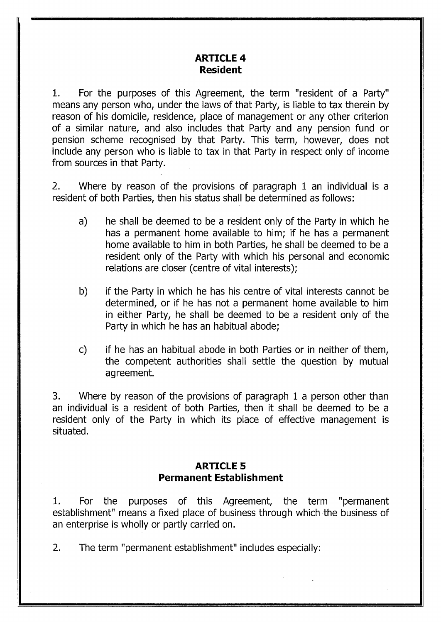# **ARTICLE 4 Resident**

1. For the purposes of this Agreement, the term "resident of a Party" means any person who, under the laws of that Party, is liable to tax therein by reason of his domicile, residence, place of management or any other criterion of a similar nature, and also includes that Party and any pension fund or pension scheme recognised by that Party. This term, however, does not include any person who is liable to tax in that Party in respect only of income from sources in that Party.

2. Where by reason of the provisions of paragraph 1 an individual is a resident of both Parties, then his status shall be determined as follows:

- a) he shall be deemed to be a resident only of the Party in which he has a permanent home available to him; if he has a permanent home available to him in both Parties, he shall be deemed to be a resident only of the Party with which his personal and economic relations are closer (centre of vital interests);
- b) if the Party in which he has his centre of vital interests cannot be determined, or if he has not a permanent home available to him in either Party, he shall be deemed to be a resident only of the Party in which he has an habitual abode;
- c) if he has an habitual abode in both Parties or in neither of them, the competent authorities shall settle the question by mutual agreement.

3. Where by reason of the provisions of paragraph 1 a person other than an individual is a resident of both Parties, then it shall be deemed to be a resident only of the Party in which its place of effective management is situated.

# **ARTICLE 5 Permanent Establishment**

1. For the purposes of this Agreement, the term "permanent establishment" means a fixed place of business through which the business of an enterprise is wholly or partly carried on.

2. The term "permanent establishment" includes especially: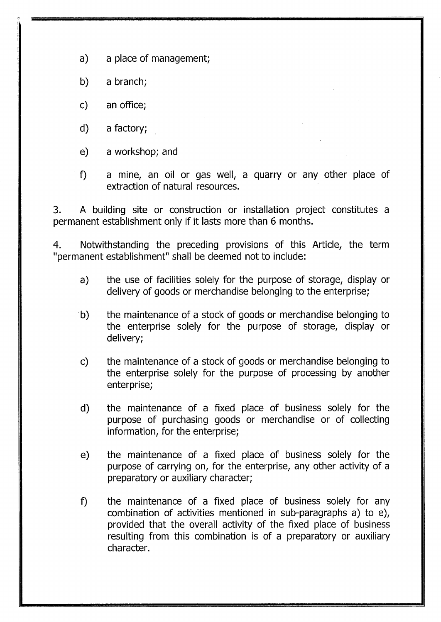a) a place of management;

b) a branch;

c) an office;

d) a factory;

e) a workshop; and

f) a mine, an oil or gas well, a quarry or any other place of extraction of natural resources.

3. A building site or construction or installation project constitutes a permanent establishment only if it lasts more than 6 months.

4. Notwithstanding the preceding provisions of this Article, the term "permanent establishment" shall be deemed not to include:

- a) the use of facilities solely for the purpose of storage, display or delivery of goods or merchandise belonging to the enterprise;
- b) the maintenance of a stock of goods or merchandise belonging to the enterprise solely for the purpose of storage, display or delivery;
- c) the maintenance of a stock of goods or merchandise belonging to the enterprise solely for the purpose of processing by another enterprise;
- d) the maintenance of a fixed place of business solely for the purpose of purchasing goods or merchandise or of collecting information, for the enterprise;
- e) the maintenance of a fixed place of business solely for the purpose of carrying on, for the enterprise, any other activity of a preparatory or auxiliary character;
- f) the maintenance of a fixed place of business solely for any combination of activities mentioned in sub-paragraphs a) to e), provided that the overall activity of the fixed place of business resulting from this combination is of a preparatory or auxiliary character.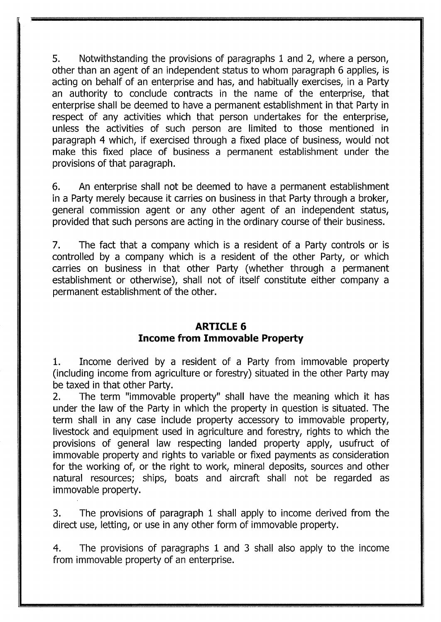5. Notwithstanding the provisions of paragraphs 1 and 2, where a person, other than an agent of an independent status to whom paragraph 6 applies, is acting on behalf of an enterprise and has, and habitually exercises, in a Party an authority to conclude contracts in the name of the enterprise, that enterprise shall be deemed to have a permanent establishment in that Party in respect of any activities which that person undertakes for the enterprise, unless the activities of such person are limited to those mentioned in paragraph 4 which, if exercised through a fixed place of business, would not make this fixed place of business a permanent establishment under the provisions of that paragraph.

6. An enterprise shall not be deemed to have a permanent establishment in a Party merely because it carries on business in that Party through a broker, general commission agent or any other agent of an independent status, provided that such persons are acting in the ordinary course of their business.

7. The fact that a company which is a resident of a Party controls or is controlled by a company which is a resident of the other Party, or which carries on business in that other Party (whether through a permanent establishment or otherwise), shall not of itself constitute either company a permanent establishment of the other.

#### **ARTICLE 6 Income from Immovable Property**

1. Income derived by a resident of a Party from immovable property (including income from agriculture or forestry) situated in the other Party may be taxed in that other Party.

2. The term "immovable property" shall have the meaning which it has under the law of the Party in which the property in question is situated. The term shall in any case include property accessory to immovable property, livestock and equipment used in agriculture and forestry, rights to which the provisions of general law respecting landed property apply, usufruct of immovable property and rights to variable or fixed payments as consideration for the working of, or the right to work, mineral deposits, sources and other natural resources; ships, boats and aircraft shall not be regarded as immovable property.

3. The provisions of paragraph 1 shall apply to income derived from the direct use, letting, or use in any other form of immovable property.

4. The provisions of paragraphs 1 and 3 shall also apply to the income from immovable property of an enterprise.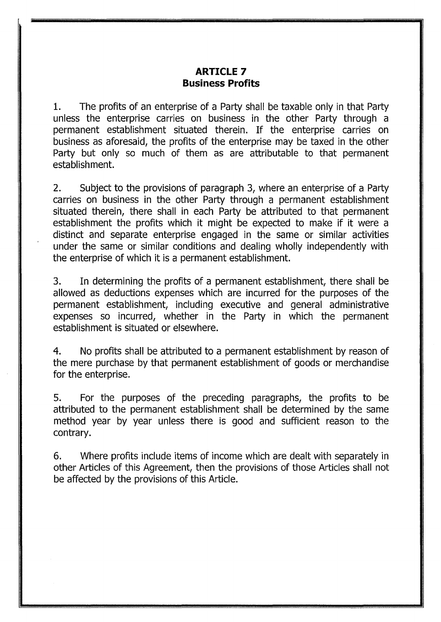#### **ARTICLE 7 Business Profits**

1. The profits of an enterprise of a Party shall be taxable only in that Party unless the enterprise carries on business in the other Party through a permanent establishment situated therein. If the enterprise carries on business as aforesaid, the profits of the enterprise may be taxed in the other Party but only so much of them as are attributable to that permanent establishment.

2. Subject to the provisions of paragraph 3, where an enterprise of a Party carries on business in the other Party through a permanent establishment situated therein, there shall in each Party be attributed to that permanent establishment the profits which it might be expected to make if it were a distinct and separate enterprise engaged in the same or similar activities under the same or similar conditions and dealing wholly independently with the enterprise of which it is a permanent establishment.

3. In determining the profits of a permanent establishment, there shall be allowed as deductions expenses which are incurred for the purposes of the permanent establishment, including executive and general administrative expenses so incurred, whether in the Party in which the permanent establishment is situated or elsewhere.

4. No profits shall be attributed to a permanent establishment by reason of the mere purchase by that permanent establishment of goods or merchandise for the enterprise.

5. For the purposes of the preceding paragraphs, the profits to be attributed to the permanent establishment shall be determined by the same method year by year unless there is good and sufficient reason to the contrary.

6. Where profits include items of income which are dealt with separately in other Articles of this Agreement, then the provisions of those Articles shall not be affected by the provisions of this Article.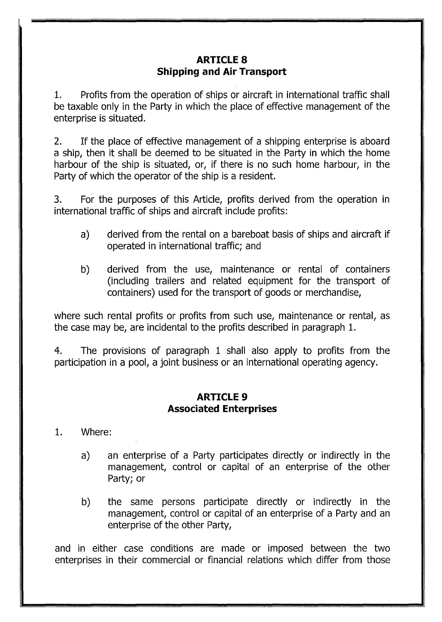# **ARTICLE 8 Shipping and Air Transport**

1. Profits from the operation of ships or aircraft in international traffic shall be taxable only in the Party in which the place of effective management of the enterprise is situated.

2. If the place of effective management of a shipping enterprise is aboard a ship, then it shall be deemed to be situated in the Party in which the home harbour of the ship is situated, or, if there is no such home harbour, in the Party of which the operator of the ship is a resident.

3. For the purposes of this Article, profits derived from the operation in international traffic of ships and aircraft include profits:

- a) derived from the rental on a bareboat basis of ships and aircraft if operated in international traffic; and
- b) derived from the use, maintenance or rental of containers (including trailers and related equipment for the transport of containers) used for the transport of goods or merchandise,

where such rental profits or profits from such use, maintenance or rental, as the case may be, are incidental to the profits described in paragraph 1.

4. The provisions of paragraph 1 shall also apply to profits from the participation in a pool, a joint business or an international operating agency.

#### **ARTICLE 9 Associated Enterprises**

#### 1. Where:

- a) an enterprise of a Party participates directly or indirectly in the management, control or capital of an enterprise of the other Party; or
- b) the same persons participate directly or indirectly in the management, control or capital of an enterprise of a Party and an enterprise of the other Party,

and in either case conditions are made or imposed between the two enterprises in their commercial or financial relations which differ from those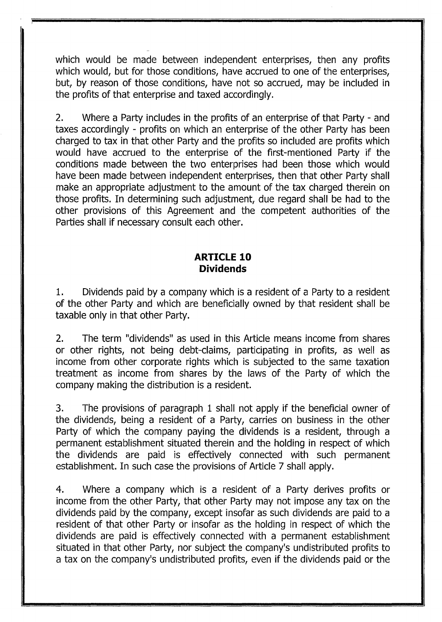which would be made between independent enterprises, then any profits which would, but for those conditions, have accrued to one of the enterprises, but, by reason of those conditions, have not so accrued, may be included in the profits of that enterprise and taxed accordingly.

2. Where a Party includes in the profits of an enterprise of that Party- and taxes accordingly - profits on which an enterprise of the other Party has been charged to tax in that other Party and the profits so included are profits which would have accrued to the enterprise of the first-mentioned Party if the conditions made between the two enterprises had been those which would have been made between independent enterprises, then that other Party shall make an appropriate adjustment to the amount of the tax charged therein on those profits. In determining such adjustment, due regard shall be had to the other provisions of this Agreement and the competent authorities of the Parties shall if necessary consult each other.

#### **ARTICLE 10 Dividends**

1. Dividends paid by a company which is a resident of a Party to a resident of the other Party and which are beneficially owned by that resident shall be taxable only in that other Party.

2. The term "dividends" as used in this Article means income from shares or other rights, not being debt-claims, participating in profits, as well as income from other corporate rights which is subjected to the same taxation treatment as income from shares by the laws of the Party of which the company making the distribution is a resident.

3. The provisions of paragraph 1 shall not apply if the beneficial owner of the dividends, being a resident of a Party, carries on business in the other Party of which the company paying the dividends is a resident, through a permanent establishment situated therein and the holding in respect of which the dividends are paid is effectively connected with such permanent establishment. In such case the provisions of Article 7 shall apply.

4. Where a company which is a resident of a Party derives profits or income from the other Party, that other Party may not impose any tax on the dividends paid by the company, except insofar as such dividends are paid to a resident of that other Party or insofar as the holding in respect of which the dividends are paid is effectively connected with a permanent establishment situated in that other Party, nor subject the company's undistributed profits to a tax on the company's undistributed profits, even if the dividends paid or the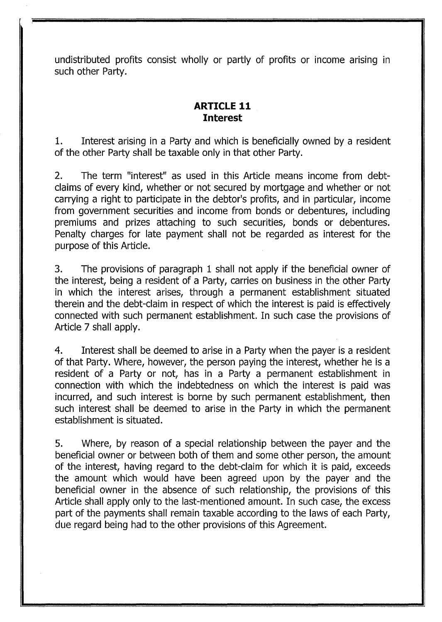undistributed profits consist wholly or partly of profits or income arising in such other Party.

# **ARTICLE 11 Interest**

1. Interest arising in a Party and which is beneficially owned by a resident of the other Party shall be taxable only in that other Party.

2. The term "interest" as used in this Article means income from debtclaims of every kind, whether or not secured by mortgage and whether or not carrying a right to participate in the debtor's profits, and in particular, income from government securities and income from bonds or debentures, including premiums and prizes attaching to such securities, bonds or debentures. Penalty charges for late payment shall not be regarded as interest for the purpose of this Article.

3. The provisions of paragraph 1 shall not apply if the beneficial owner of the interest, being a resident of a Party, carries on business in the other Party in which the interest arises, through a permanent establishment situated therein and the debt-claim in respect of which the interest is paid is effectively connected with such permanent establishment. In such case the provisions of Article 7 shall apply.

4. Interest shall be deemed to arise in a Party when the payer is a resident of that Party. Where, however, the person paying the interest, whether he is a resident of a Party or not, has in a Party a permanent establishment in connection with which the indebtedness on which the interest is paid was incurred, and such interest is borne by such permanent establishment, then such interest shall be deemed to arise in the Party in which the permanent establishment is situated.

5. Where, by reason of a special relationship between the payer and the beneficial owner or between both of them and some other person, the amount of the interest, having regard to the debt-claim for which it is paid, exceeds the amount which would have been agreed upon by the payer and the beneficial owner in the absence of such relationship, the provisions of this Article shall apply only to the last-mentioned amount. In such case, the excess part of the payments shall remain taxable according to the laws of each Party, due regard being had to the other provisions of this Agreement.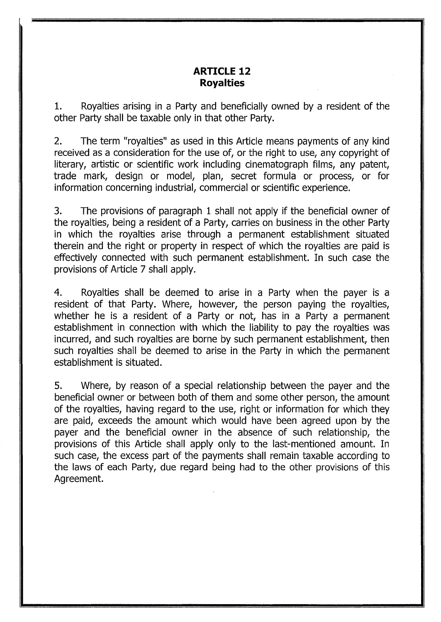#### **ARTICLE 12 Royalties**

1. Royalties arising in a Party and beneficially owned by a resident of the other Party shall be taxable only in that other Party.

2. The term "royalties" as used in this Article means payments of any kind received as a consideration for the use of, or the right to use, any copyright of literary, artistic or scientific work including cinematograph films, any patent, trade mark, design or model, plan, secret formula or process, or for information concerning industrial, commercial or scientific experience.

3. The provisions of paragraph 1 shall not apply if the beneficial owner of the royalties, being a resident of a Party, carries on business in the other Party in which the royalties arise through a permanent establishment situated therein and the right or property in respect of which the royalties are paid is effectively connected with such permanent establishment. In such case the provisions of Article 7 shall apply.

4. Royalties shall be deemed to arise in a Party when the payer is a resident of that Party. Where, however, the person paying the royalties, whether he is a resident of a Party or not, has in a Party a permanent establishment in connection with which the liability to pay the royalties was incurred, and such royalties are borne by such permanent establishment, then such royalties shall be deemed to arise in the Party in which the permanent establishment is situated.

5. Where, by reason of a special relationship between the payer and the beneficial owner or between both of them and some other person, the amount of the royalties, having regard to the use, right or information for which they are paid, exceeds the amount which would have been agreed upon by the payer and the beneficial owner in the absence of such relationship, the provisions of this Article shall apply only to the last-mentioned amount. In such case, the excess part of the payments shall remain taxable according to the laws of each Party, due regard being had to the other provisions of this Agreement.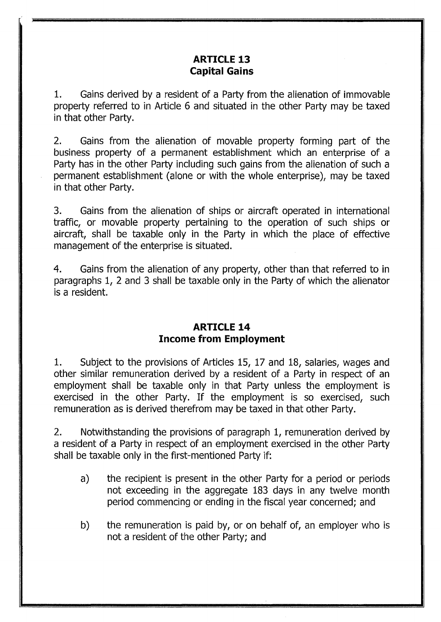# **ARTICLE 13 Capital Gains**

1. Gains derived by a resident of a Party from the alienation of immovable property referred to in Article 6 and situated in the other Party may be taxed in that other Party.

2. Gains from the alienation of movable property forming part of the business property of a permanent establishment which an enterprise of a Party has in the other Party including such gains from the alienation of such a permanent establishment (alone or with the whole enterprise), may be taxed in that other Party.

3. Gains from the alienation of ships or aircraft operated in international traffic, or movable property pertaining to the operation of such ships or aircraft, shall be taxable only in the Party in which the place of effective management of the enterprise is situated.

4. Gains from the alienation of any property, other than that referred to in paragraphs 1, 2 and 3 shall be taxable only in the Party of which the alienator is a resident.

#### **ARTICLE 14 Income from Employment**

1. Subject to the provisions of Articles 15, 17 and 18, salaries, wages and other similar remuneration derived by a resident of a Party in respect of an employment shall be taxable only in that Party unless the employment is exercised in the other Party. If the employment is so exercised, such remuneration as is derived therefrom may be taxed in that other Party.

2. Notwithstanding the provisions of paragraph 1, remuneration derived by a resident of a Party in respect of an employment exercised in the other Party shall be taxable only in the first-mentioned Party if:

- a) the recipient is present in the other Party for a period or periods not exceeding in the aggregate 183 days in any twelve month period commencing or ending in the fiscal year concerned; and
- b) the remuneration is paid by, or on behalf of, an employer who is not a resident of the other Party; and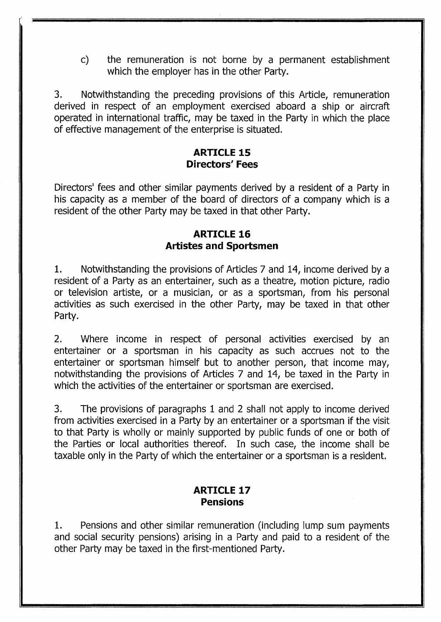c) the remuneration is not borne by a permanent establishment which the employer has in the other Party.

3. Notwithstanding the preceding provisions of this Article, remuneration derived in respect of an employment exercised aboard a ship or aircraft operated in international traffic, may be taxed in the Party in which the place of effective management of the enterprise is situated.

# **ARTICLE 15 Directors' Fees**

Directors' fees and other similar payments derived by a resident of a Party in his capacity as a member of the board of directors of a company which is a resident of the other Party may be taxed in that other Party.

# **ARTICLE 16 Artistes and Sportsmen**

1. Notwithstanding the provisions of Articles 7 and 14, income derived by a resident of a Party as an entertainer, such as a theatre, motion picture, radio or television artiste, or a musician, or as a sportsman, from his personal activities as such exercised in the other Party, may be taxed in that other Party.

2. Where income in respect of personal activities exercised by an entertainer or a sportsman in his capacity as such accrues not to the entertainer or sportsman himself but to another person, that income may, notwithstanding the provisions of Articles 7 and 14, be taxed in the Party in which the activities of the entertainer or sportsman are exercised.

3. The provisions of paragraphs 1 and 2 shall not apply to income derived from activities exercised in a Party by an entertainer or a sportsman if the visit to that Party is wholly or mainly supported by public funds of one or both of the Parties or local authorities thereof. In such case, the income shall be taxable only in the Party of which the entertainer or a sportsman is a resident.

# **ARTICLE 17 Pensions**

1. Pensions and other similar remuneration (including lump sum payments and social security pensions) arising in a Party and paid to a resident of the other Party may be taxed in the first-mentioned Party.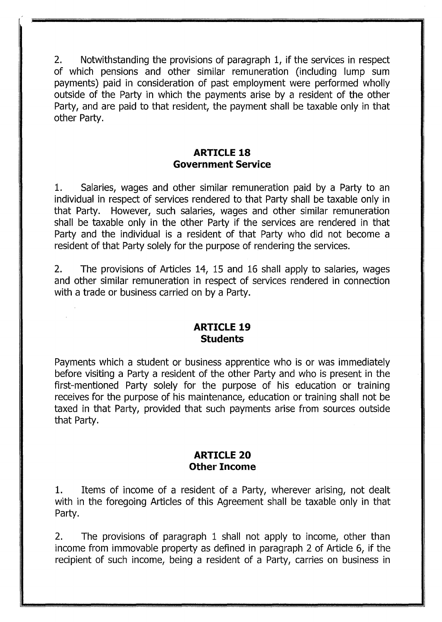2. Notwithstanding the provisions of paragraph 1, if the services in respect of which pensions and other similar remuneration (including lump sum payments) paid in consideration of past employment were performed wholly outside of the Party in which the payments arise by a resident of the other Party, and are paid to that resident, the payment shall be taxable only in that other Party.

# **ARTICLE 18 Government Service**

1. Salaries, wages and other similar remuneration paid by a Party to an individual in respect of services rendered to that Party shall be taxable only in that Party. However, such salaries, wages and other similar remuneration shall be taxable only in the other Party if the services are rendered in that Party and the individual is a resident of that Party who did not become a resident of that Party solely for the purpose of rendering the services.

2. The provisions of Articles 14, 15 and 16 shall apply to salaries, wages and other similar remuneration in respect of services rendered in connection with a trade or business carried on by a Party.

#### **ARTICLE 19 Students**

Payments which a student or business apprentice who is or was immediately before visiting a Party a resident of the other Party and who is present in the first-mentioned Party solely for the purpose of his education or training receives for the purpose of his maintenance, education or training shall not be taxed in that Party, provided that such payments arise from sources outside that Party.

# **ARTICLE 20 Other Income**

1. Items of income of a resident of a Party, wherever arising, not dealt with in the foregoing Articles of this Agreement shall be taxable only in that Party.

2. The provisions of paragraph 1 shall not apply to income, other than income from immovable property as defined in paragraph 2 of Article 6, if the recipient of such income, being a resident of a Party, carries on business in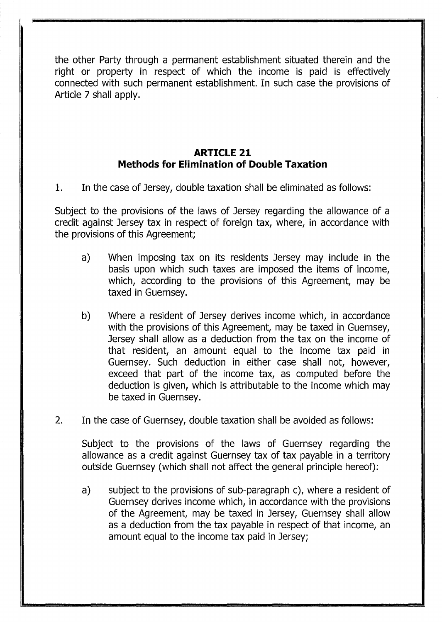the other Party through a permanent establishment situated therein and the right or property in respect of which the income is paid is effectively connected with such permanent establishment. In such case the provisions of Article 7 shall apply.

# **ARTICLE 21 Methods for Elimination of Double Taxation**

1. In the case of Jersey, double taxation shall be eliminated as follows:

Subject to the provisions of the laws of Jersey regarding the allowance of a credit against Jersey tax in respect of foreign tax, where, in accordance with the provisions of this Agreement;

- a) When imposing tax on its residents Jersey may include in the basis upon which such taxes are imposed the items of income, which, according to the provisions of this Agreement, may be taxed in Guernsey.
- b) Where a resident of Jersey derives income which, in accordance with the provisions of this Agreement, may be taxed in Guernsey, Jersey shall allow as a deduction from the tax on the income of that resident, an amount equal to the income tax paid in Guernsey. Such deduction in either case shall not, however, exceed that part of the income tax, as computed before the deduction is given, which is attributable to the income which may be taxed in Guernsey.
- 2. In the case of Guernsey, double taxation shall be avoided as follows:

Subject to the provisions of the laws of Guernsey regarding the allowance as a credit against Guernsey tax of tax payable in a territory outside Guernsey (which shall not affect the general principle hereof):

a) subject to the provisions of sub-paragraph c), where a resident of Guernsey derives income which, in accordance with the provisions of the Agreement, may be taxed in Jersey, Guernsey shall allow as a deduction from the tax payable in respect of that income, an amount equal to the income tax paid in Jersey;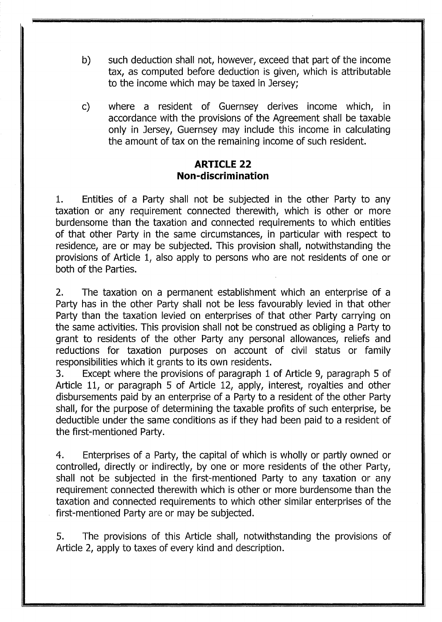- b) such deduction shall not, however, exceed that part of the income tax, as computed before deduction is given, which is attributable to the income which may be taxed in Jersey;
- c) where a resident of Guernsey derives income which, in accordance with the provisions of the Agreement shall be taxable only in Jersey, Guernsey may include this income in calculating the amount of tax on the remaining income of such resident.

#### **ARTICLE 22 Non-discrimination**

1. Entities of a Party shall not be subjected in the other Party to any taxation or any requirement connected therewith, which is other or more burdensome than the taxation and connected requirements to which entities of that other Party in the same circumstances, in particular with respect to residence, are or may be subjected. This provision shall, notwithstanding the provisions of Article 1, also apply to persons who are not residents of one or both of the Parties.

2. The taxation on a permanent establishment which an enterprise of a Party has in the other Party shall not be less favourably levied in that other Party than the taxation levied on enterprises of that other Party carrying on the same activities. This provision shall not be construed as obliging a Party to grant to residents of the other Party any personal allowances, reliefs and reductions for taxation purposes on account of civil status or family responsibilities which it grants to its own residents.

3. Except where the provisions of paragraph 1 of Article 9, paragraph 5 of Article 11, or paragraph 5 of Article 12, apply, interest, royalties and other disbursements paid by an enterprise of a Party to a resident of the other Party shall, for the purpose of determining the taxable profits of such enterprise, be deductible under the same conditions as if they had been paid to a resident of the first-mentioned Party.

4. Enterprises of a Party, the capital of which is wholly or partly owned or controlled, directly or indirectly, by one or more residents of the other Party, shall not be subjected in the first-mentioned Party to any taxation or any requirement connected therewith which is other or more burdensome than the taxation and connected requirements to which other similar enterprises of the first-mentioned Party are or may be subjected.

5. The provisions of this Article shall, notwithstanding the provisions of Article 2, apply to taxes of every kind and description.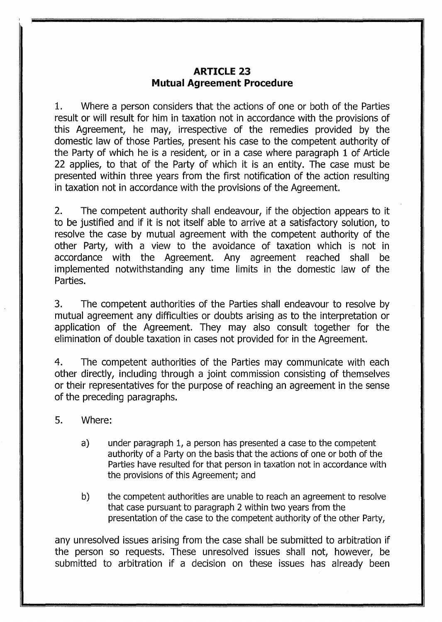### **ARTICLE 23 Mutual Agreement Procedure**

1. Where a person considers that the actions of one or both of the Parties result or will result for him in taxation not in accordance with the provisions of this Agreement, he may, irrespective of the remedies provided by the domestic law of those Parties, present his case to the competent authority of the Party of which he is a resident, or in a case where paragraph 1 of Article 22 applies, to that of the Party of which it is an entity. The case must be presented within three years from the first notification of the action resulting in taxation not in accordance with the provisions of the Agreement.

2. The competent authority shall endeavour, if the objection appears to it to be justified and if it is not itself able to arrive at a satisfactory solution, to resolve the case by mutual agreement with the competent authority of the other Party, with a view to the avoidance of taxation which is not in accordance with the Agreement. Any agreement reached shall be implemented notwithstanding any time limits in the domestic law of the Parties.

3. The competent authorities of the Parties shall endeavour to resolve by mutual agreement any difficulties or doubts arising as to the interpretation or application of the Agreement. They may also consult together for the elimination of double taxation in cases not provided for in the Agreement.

4. The competent authorities of the Parties may communicate with each other directly, including through a joint commission consisting of themselves or their representatives for the purpose of reaching an agreement in the sense of the preceding paragraphs.

- 5. Where:
	- a) under paragraph 1, a person has presented a case to the competent authority of a Party on the basis that the actions of one or both of the Parties have resulted for that person in taxation not in accordance with the provisions of this Agreement; and
	- b) the competent authorities are unable to reach an agreement to resolve that case pursuant to paragraph 2 within two years from the presentation of the case to the competent authority of the other Party,

any unresolved issues arising from the case shall be submitted to arbitration if the person so requests. These unresolved issues shall not, however, be submitted to arbitration if a decision on these issues has already been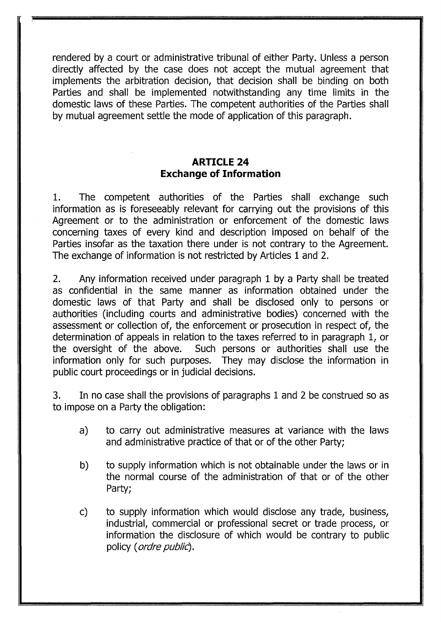rendered by a court or administrative tribunal of either Party. Unless a person directly affected by the case does not accept the mutual agreement that implements the arbitration decision, that decision shall be binding on both Parties and shall be implemented notwithstanding any time limits in the domestic laws of these Parties. The competent authorities of the Parties shall by mutual agreement settle the mode of application of this paragraph.

# **ARTICLE 24 Exchange of Information**

1. The competent authorities of the Parties shall exchange such information as is foreseeably relevant for carrying out the provisions of this Agreement or to the administration or enforcement of the domestic laws concerning taxes of every kind and description imposed on behalf of the Parties insofar as the taxation there under is not contrary to the Agreement. The exchange of information is not restricted by Articles 1 and 2.

2. Any information received under paragraph 1 by a Party shall be treated as confidential in the same manner as information obtained under the domestic laws of that Party and shall be disclosed only to persons or authorities (including courts and administrative bodies) concerned with the assessment or collection of, the enforcement or prosecution in respect of, the determination of appeals in relation to the taxes referred to in paragraph 1, or the oversight of the above. Such persons or authorities shall use the information only for such purposes. They may disclose the information in public court proceedings or in judicial decisions.

3. In no case shall the provisions of paragraphs 1 and 2 be construed so as to impose on a Party the obligation:

- a) to carry out administrative measures at variance with the laws and administrative practice of that or of the other Party;
- b) to supply information which is not obtainable under the laws or in the normal course of the administration of that or of the other Party;
- c) to supply information which would disclose any trade, business, industrial, commercial or professional secret or trade process, or information the disclosure of which would be contrary to public policy ( ordre public).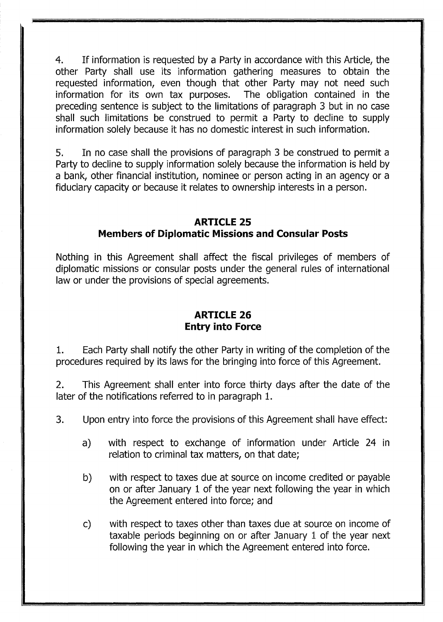4. If information is requested by a Party in accordance with this Article, the other Party shall use its information gathering measures to obtain the requested information, even though that other Party may not need such information for its own tax purposes. The obligation contained in the preceding sentence is subject to the limitations of paragraph 3 but in no case shall such limitations be construed to permit a Party to decline to supply information solely because it has no domestic interest in such information.

5. In no case shall the provisions of paragraph 3 be construed to permit a Party to decline to supply information solely because the information is held by a bank, other financial institution, nominee or person acting in an agency or a fiduciary capacity or because it relates to ownership interests in a person.

# **ARTICLE 25 Members of Diplomatic Missions and Consular Posts**

Nothing in this Agreement shall affect the fiscal privileges of members of diplomatic missions or consular posts under the general rules of international law or under the provisions of special agreements.

# **ARTICLE 26 Entry into Force**

1. Each Party shall notify the other Party in writing of the completion of the procedures required by its laws for the bringing into force of this Agreement.

2. This Agreement shall enter into force thirty days after the date of the later of the notifications referred to in paragraph 1.

- 3. Upon entry into force the provisions of this Agreement shall have effect:
	- a) with respect to exchange of information under Article 24 in relation to criminal tax matters, on that date;
	- b) with respect to taxes due at source on income credited or payable on or after January 1 of the year next following the year in which the Agreement entered into force; and
	- c) with respect to taxes other than taxes due at source on income of taxable periods beginning on or after January 1 of the year next following the year in which the Agreement entered into force.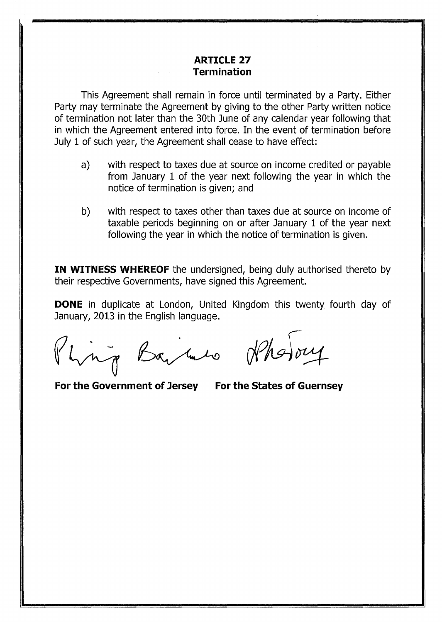#### **ARTICLE 27 Termination**

This Agreement shall remain in force until terminated by a Party. Either Party may terminate the Agreement by giving to the other Party written notice of termination not later than the 30th June of any calendar year following that in which the Agreement entered into force. In the event of termination before July 1 of such year, the Agreement shall cease to have effect:

- a) with respect to taxes due at source on income credited or payable from January 1 of the year next following the year in which the notice of termination is given; and
- b) with respect to taxes other than taxes due at source on income of taxable periods beginning on or after January 1 of the year next following the year in which the notice of termination is given.

**IN WITNESS WHEREOF** the undersigned, being duly authorised thereto by their respective Governments, have signed this Agreement.

**DONE** in duplicate at London, United Kingdom this twenty fourth day of January, 2013 in the English language. e at London, United Kingdom this to<br>e English language.<br>Bay (mulho) (MAS)

.

**For the Government of Jersey For the States of Guernsey**